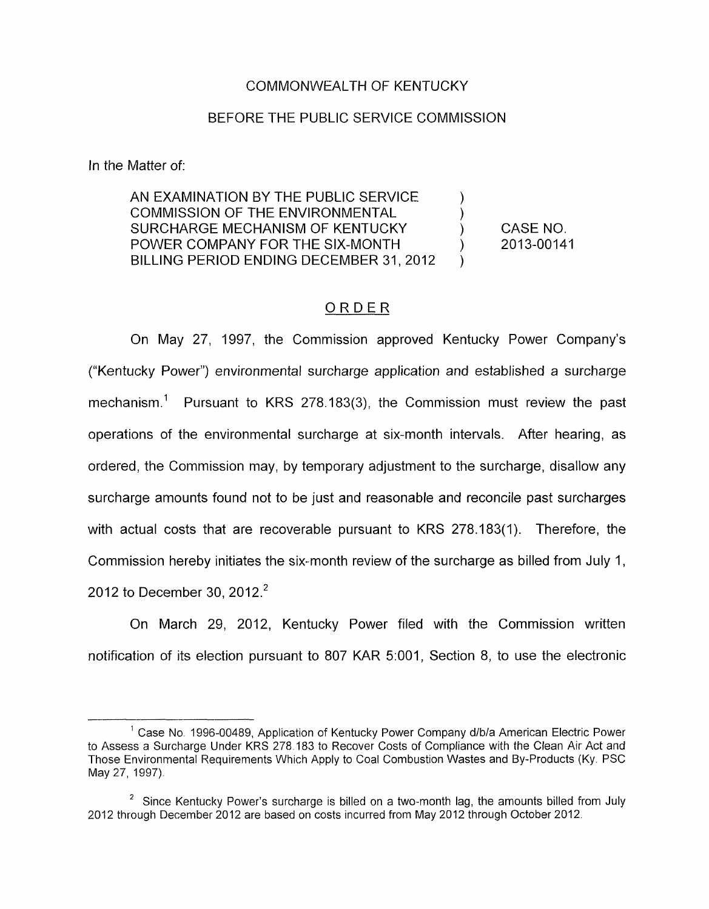### COMMONWEALTH OF KENTUCKY

### BEFORE THE PUBLIC SERVICE COMMISSION

In the Matter of:

AN EXAMINATION BY THE PUBLIC SERVICE COMMISSION OF THE ENVIRONMENTAL SURCHARGE MECHANISM OF KENTUCKY ) POWER COMPANY FOR THE SIX-MONTH  $\left( \begin{array}{cc} 0 & 0 \\ 0 & 1 \end{array} \right)$ BILLING PERIOD ENDING DECEMBER 31, 2012

CASE NO. 2013-00141

### ORDER

On May 27, 1997, the Commission approved Kentucky Power Company's ("Kentucky Power") environmental surcharge application and established a surcharge mechanism.<sup>1</sup> Pursuant to KRS 278.183(3), the Commission must review the past operations of the environmental surcharge at six-month intervals. After hearing, as ordered, the Commission may, by temporary adjustment to the surcharge, disallow any surcharge amounts found not to be just and reasonable and reconcile past surcharges with actual costs that are recoverable pursuant to KRS 278.183(1). Therefore, the Commission hereby initiates the six-month review of the surcharge as billed from July 1, 2012 to December 30, 2012.<sup>2</sup>

On March 29, 2012, Kentucky Power filed with the Commission written notification of its election pursuant to 807 KAR 5:001, Section 8, to use the electronic

<sup>&</sup>lt;sup>'</sup> Case No. 1996-00489, Application of Kentucky Power Company d/b/a American Electric Power to Assess a Surcharge Under KRS 278 183 *to* Recover Costs of Compliance with the Clean Air Act and Those Environmental Requirements Which Apply to Coal Combustion Wastes and By-products (Ky. PSC May 27, 1997).

<sup>&</sup>lt;sup>2</sup> Since Kentucky Power's surcharge is billed on a two-month lag, the amounts billed from July 2012 through December 2012 are based on costs incurred from May 2012 through October 2012.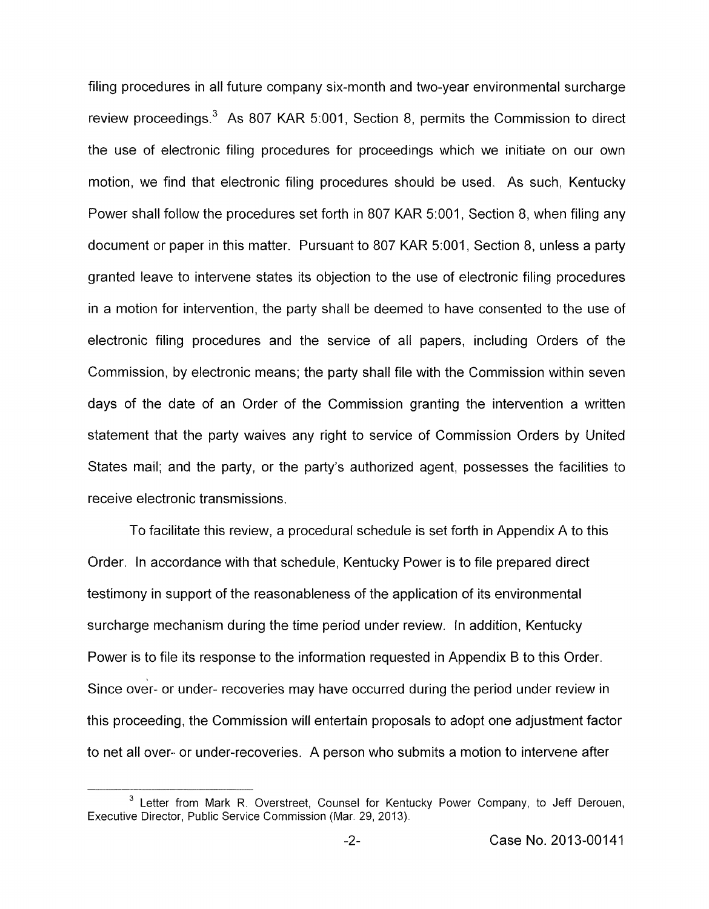filing procedures in all future company six-month and two-year environmental surcharge review proceedings.<sup>3</sup> As 807 KAR 5:001, Section 8, permits the Commission to direct the use of electronic filing procedures for proceedings which we initiate on our own motion, we find that electronic filing procedures should be used. As such, Kentucky Power shall follow the procedures set forth in 807 KAR 5:001, Section 8, when filing any document or paper in this matter. Pursuant to *807* KAR 5:001, Section *8,* unless a party granted leave to intervene states its objection to the use of electronic filing procedures in a motion for intervention, the party shall be deemed to have consented to the use of electronic filing procedures and the service of all papers, including Orders of the Commission, by electronic means; the party shall file with the Commission within seven days of the date of an Order of the Commission granting the intervention a written statement that the party waives any right to service of Commission Orders by United States mail; and the party, or the party's authorized agent, possesses the facilities to receive electronic transmissions.

To facilitate this review, a procedural schedule is set forth in Appendix A to this Order. In accordance with that schedule, Kentucky Power is to file prepared direct testimony in support of the reasonableness of the application of its environmental surcharge mechanism during the time period under review. In addition, Kentucky Power is to file its response to the information requested in Appendix B to this Order. Since over- or under- recoveries may have occurred during the period under review in this proceeding, the Commission will entertain proposals to adopt one adjustment factor to net all over- or under-recoveries. A person who submits a motion to intervene after

<sup>&</sup>lt;sup>3</sup> Letter from Mark R. Overstreet, Counsel for Kentucky Power Company, to Jeff Derouen, Executive Director, Public Service Commission (Mar. 29, 2013).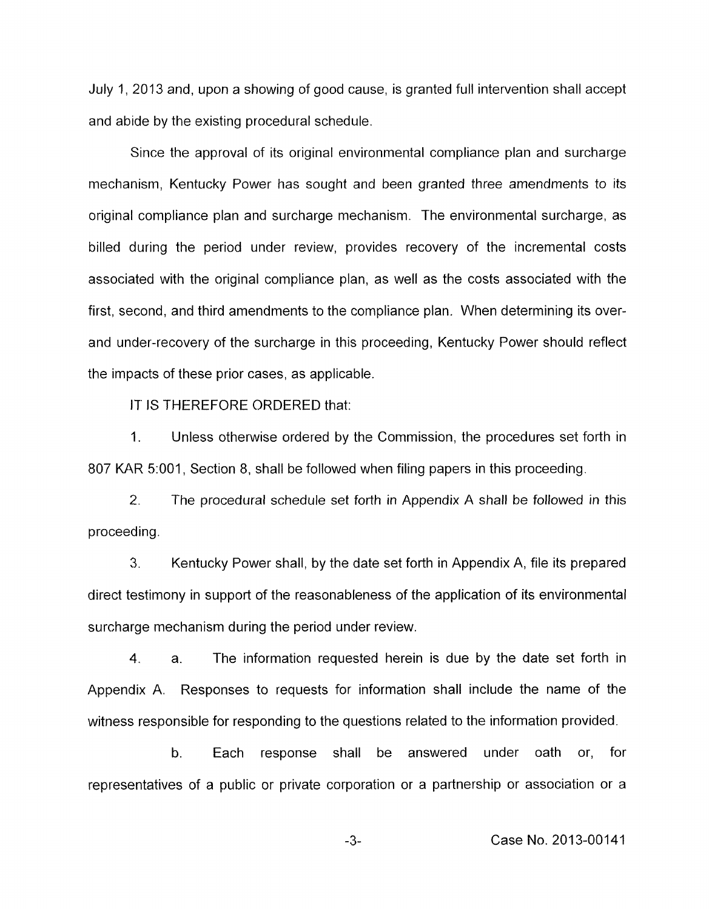July 1, 2013 and, upon a showing of good cause, is granted full intervention shall accept and abide by the existing procedural schedule.

Since the approval of its original environmental compliance plan and surcharge mechanism, Kentucky Power has sought and been granted three amendments to its original compliance plan and surcharge mechanism. The environmental surcharge, as billed during the period under review, provides recovery of the incremental costs associated with the original compliance plan, as well as the costs associated with the first, second, and third amendments to the compliance plan. When determining its overand under-recovery of the surcharge in this proceeding, Kentucky Power should reflect the impacts of these prior cases, as applicable.

IT IS THEREFORE ORDERED that:

1. Unless otherwise ordered by the Commission, the procedures set forth in 807 KAR 5:001, Section 8, shall be followed when filing papers in this proceeding.

2. The procedural schedule set forth in Appendix A shall he followed in this proceeding.

*3.* Kentucky Power shall, by the date set forth in Appendix A, file its prepared direct testimony in support of the reasonableness of the application of its environmental surcharge mechanism during the period under review.

**4.** a. The information requested herein is due by the date set forth in Appendix A. Responses to requests for information shall include the name of the witness responsible for responding to the questions related to the information provided.

b. Each response shall be answered under oath or, for representatives of a public or private corporation or a partnership or association or a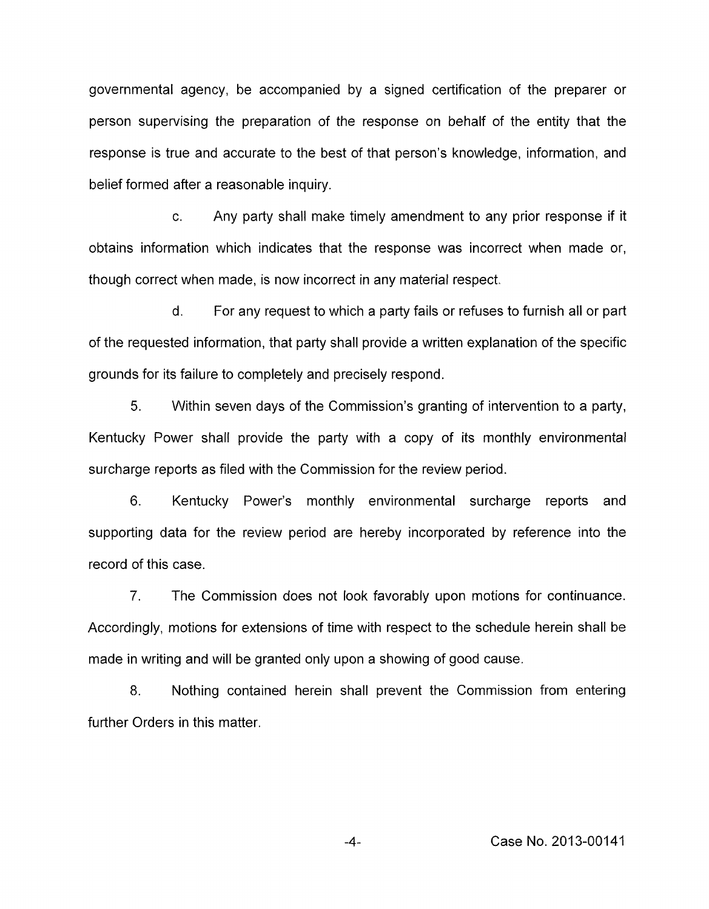governmental agency, be accompanied by a signed certification of the preparer or person supervising the preparation of the response on behalf of the entity that the response is true and accurate to the best of that person's knowledge, information, and belief formed after a reasonable inquiry.

c. Any party shall make timely amendment to any prior response if it obtains information which indicates that the response was incorrect when made or, though correct when made, is now incorrect in any material respect.

d. For any request to which a party fails or refuses to furnish all or part of the requested information, that party shall provide a written explanation of the specific grounds for its failure to completely and precisely respond.

5. Within seven days of the Commission's granting of intervention to a party, Kentucky Power shall provide the party with a copy of its monthly environmental surcharge reports as filed with the Commission for the review period.

6. Kentucky Power's monthly environmental surcharge reports and supporting data for the review period are hereby incorporated by reference into the record of this case.

*7.* The Commission does not look favorably upon motions for continuance. Accordingly, motions for extensions of time with respect to the schedule herein shall be made in writing and will be granted only upon a showing of good cause.

8. Nothing contained herein shall prevent the Commission from entering further Orders in this matter.

-4- Case No. 2013-00141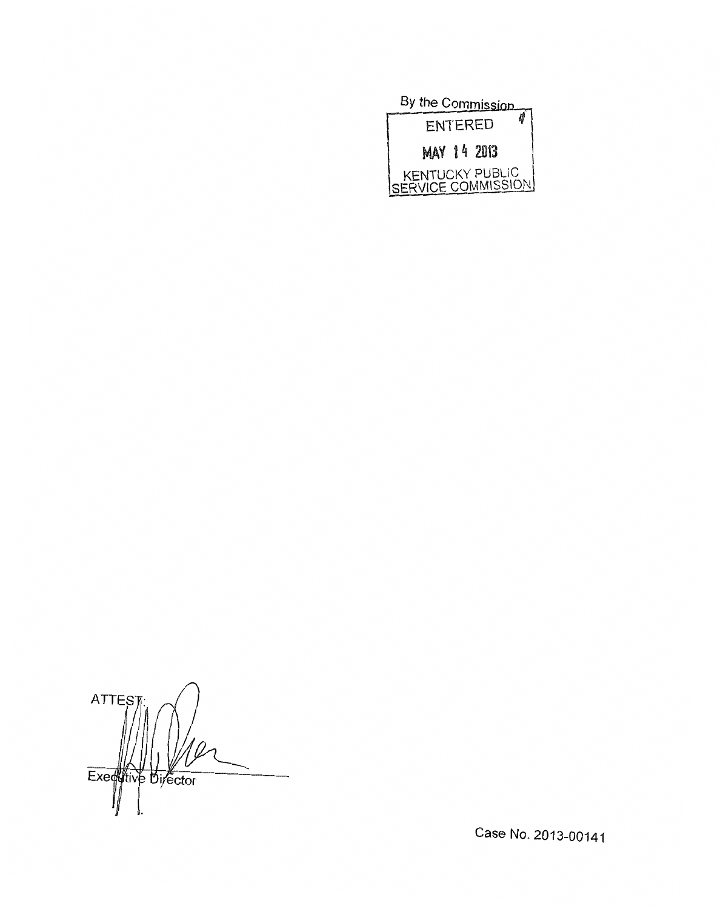

**ATTES** Executive Director

Case No. 2013-00141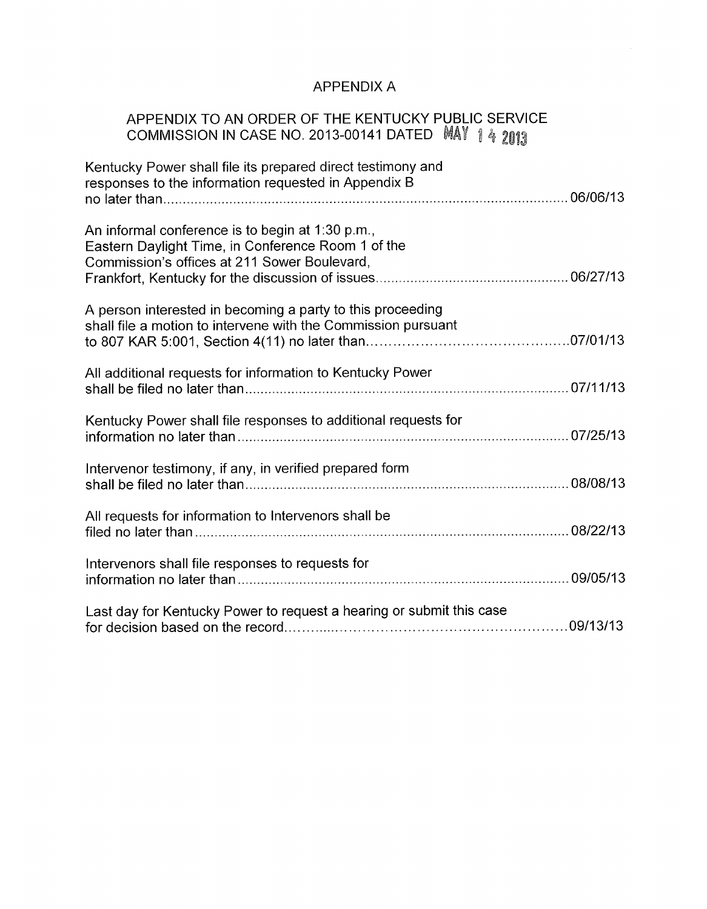# APPENDIX A

## APPENDIX TO AN ORDER OF THE KENTUCKY PUBLIC SERVICE COMMISSION IN CASE NO. 2013-00141 DATED

| Kentucky Power shall file its prepared direct testimony and<br>responses to the information requested in Appendix B                                    |  |
|--------------------------------------------------------------------------------------------------------------------------------------------------------|--|
|                                                                                                                                                        |  |
| An informal conference is to begin at 1:30 p.m.,<br>Eastern Daylight Time, in Conference Room 1 of the<br>Commission's offices at 211 Sower Boulevard, |  |
| A person interested in becoming a party to this proceeding<br>shall file a motion to intervene with the Commission pursuant                            |  |
| All additional requests for information to Kentucky Power                                                                                              |  |
| Kentucky Power shall file responses to additional requests for                                                                                         |  |
| Intervenor testimony, if any, in verified prepared form                                                                                                |  |
| All requests for information to Intervenors shall be                                                                                                   |  |
| Intervenors shall file responses to requests for                                                                                                       |  |
| Last day for Kentucky Power to request a hearing or submit this case                                                                                   |  |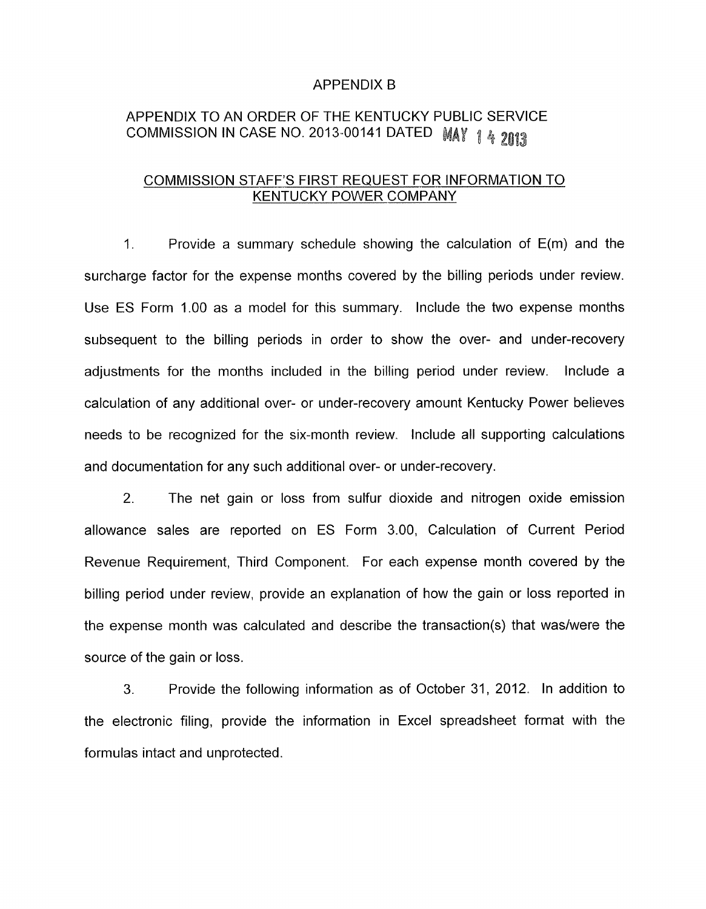### APPENDIX B

# APPENDIX TO AN ORDER OF THE KENTUCKY PUBLIC SERVICE COMMISSION IN CASE NO. 2013-00141 DATED MAY 1 4 2013

## COMMISSION STAFF'S FIRST REQUEST FOR INFORMATION TO KENTUCKY POWER COMPANY

1. Provide a summary schedule showing the calculation of E(m) and the surcharge factor for the expense months covered by the billing periods under review. Use ES Form 1.00 as a model for this summary. Include the two expense months subsequent to the billing periods in order to show the over- and under-recovery adjustments for the months included in the billing period under review. Include a calculation of any additional over- or under-recovery amount Kentucky Power believes needs to be recognized for the six-month review. Include all supporting calculations and documentation for any such additional over- or under-recovery.

2. The net gain or loss from sulfur dioxide and nitrogen oxide emission allowance sales are reported on ES Form 3.00, Calculation of Current Period Revenue Requirement, Third Component. For each expense month covered by the billing period under review, provide an explanation of how the gain or loss reported in the expense month was calculated and describe the transaction(s) that was/were the source of the gain or loss.

3. Provide the following information as of October 31, 2012. In addition to the electronic filing, provide the information in Excel spreadsheet format with the formulas intact and unprotected.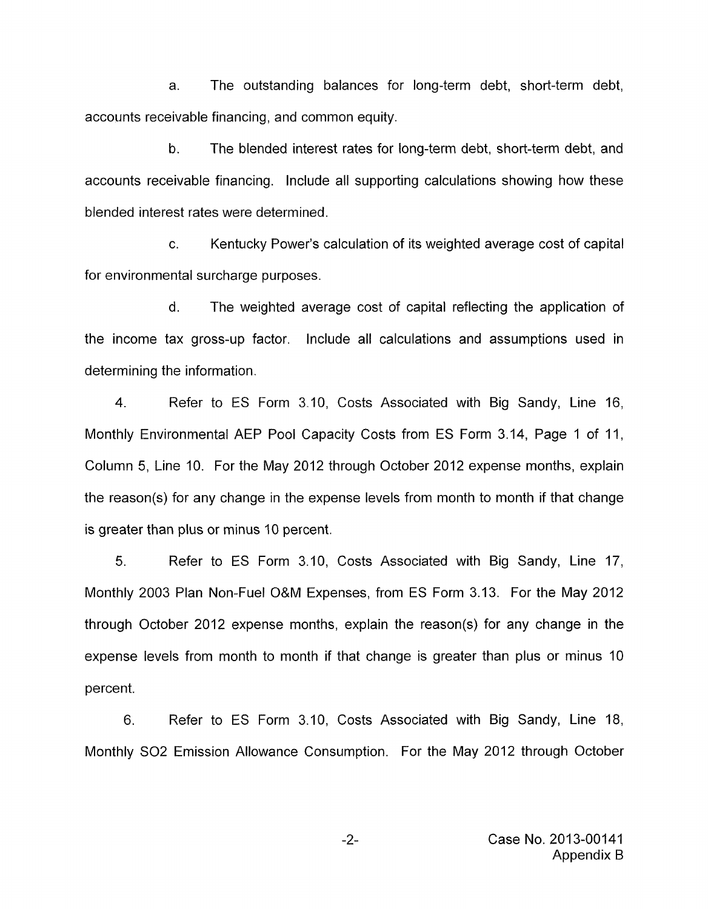a. The outstanding balances for long-term debt, short-term debt, accounts receivable financing, and common equity.

b. The blended interest rates for long-term debt, short-term debt, and accounts receivable financing. Include all supporting calculations showing how these blended interest rates were determined.

c. Kentucky Power's calculation of its weighted average cost of capital for environmental surcharge purposes.

d. The weighted average cost of capital reflecting the application of the income tax gross-up factor. Include all calculations and assumptions used in determining the information.

4. Refer to ES Form 3.10, Costs Associated with Big Sandy, Line 16, Monthly Environmental AEP Pool Capacity Costs from ES Form 3.14, Page 1 of 11, Column 5, Line IO. For the May 2012 through October 2012 expense months, explain the reason(s) for any change in the expense levels from month to month if that change is greater than plus or minus 10 percent.

5. Refer to ES Form 3.10, Costs Associated with Big Sandy, Line 17, Monthly 2003 Plan Non-Fuel O&M Expenses, from ES Form 3.13. For the May 2012 through October 2012 expense months, explain the reason(s) for any change in the expense levels from month to month if that change is greater than plus or minus 10 percent.

6. Refer to ES Form 3.10, Costs Associated with Big Sandy, Line 18, Monthly SO2 Emission Allowance Consumption. For the May 2012 through October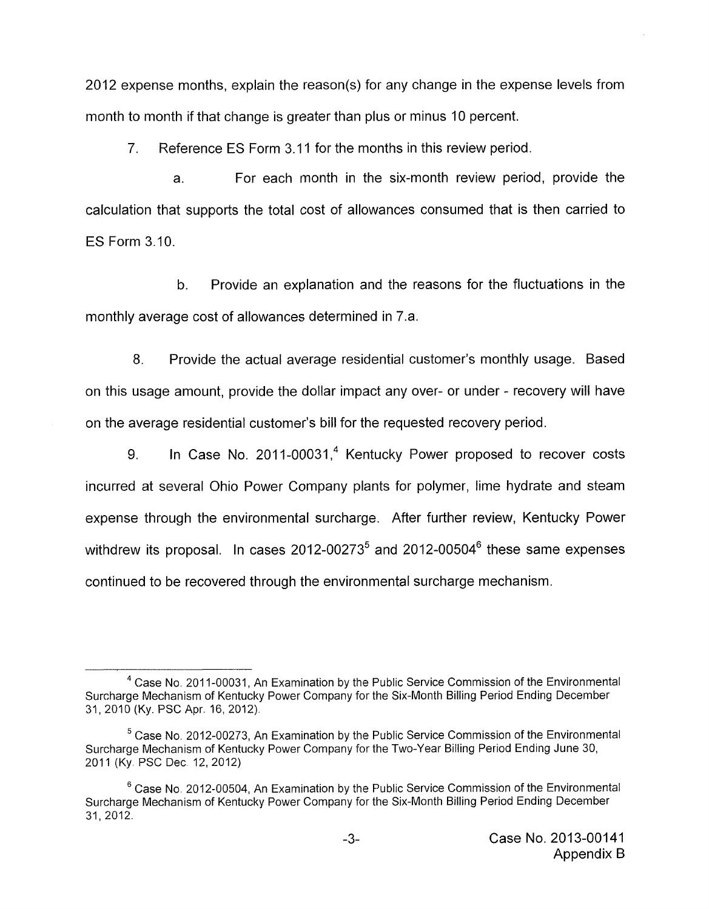2012 expense months, explain the reason(s) for any change in the expense levels from month to month if that change is greater than plus or minus 10 percent.

7. Reference ES Form 3.1 1 for the months in this review period.

a. For each month in the six-month review period, provide the calculation that supports the total cost of allowances consumed that is then carried to ES Form 3.10.

b. Provide an explanation and the reasons for the fluctuations in the monthly average cost of allowances determined in 7.a.

8. Provide the actual average residential customer's monthly usage. Based on this usage amount, provide the dollar impact any over- or under - recovery will have on the average residential customer's bill for the requested recovery period.

9. In Case No. 2011-00031,<sup>4</sup> Kentucky Power proposed to recover costs incurred at several Ohio Power Company plants for polymer, lime hydrate and steam expense through the environmental surcharge. After further review, Kentucky Power withdrew its proposal. In cases 2012-00273<sup>5</sup> and 2012-00504<sup>6</sup> these same expenses continued to be recovered through the environmental surcharge mechanism.

<sup>&</sup>lt;sup>4</sup> Case No. 2011-00031, An Examination by the Public Service Commission of the Environmental Surcharge Mechanism of Kentucky Power Company for the Six-Month Billing Period Ending December 31, 2010 (Ky. PSC Apr. 16, 2012).

<sup>&</sup>lt;sup>5</sup> Case No. 2012-00273, An Examination by the Public Service Commission of the Environmental Surcharge Mechanism of Kentucky Power Company for the Two-Year Billing Period Ending June 30, 2011 (Ky PSC Dec 12,2012)

<sup>&</sup>lt;sup>6</sup> Case No. 2012-00504, An Examination by the Public Service Commission of the Environmental Surcharge Mechanism of Kentucky Power Company for the Six-Month Billing Period Ending December 31, 2012.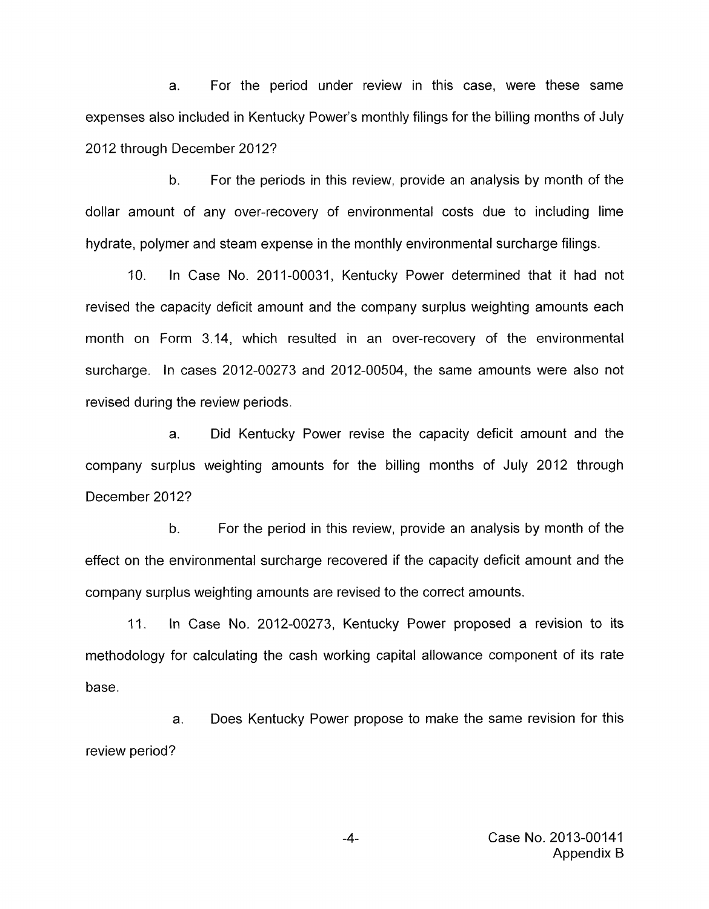a. For the period under review in this case, were these same expenses also included in Kentucky Power's monthly filings for the billing months of July 2012 through December 2012?

b. For the periods in this review, provide an analysis by month of the dollar amount of any over-recovery of environmental costs due to including lime hydrate, polymer and steam expense in the monthly environmental surcharge filings.

IO. In Case No. 2011-00031, Kentucky Power determined that it had not revised the capacity deficit amount and the company surplus weighting amounts each month on Form 3.14, which resulted in an over-recovery of the environmental surcharge. In cases 2012-00273 and 2012-00504, the same amounts were also not revised during the review periods.

a. Did Kentucky Power revise the capacity deficit amount and the company surplus weighting amounts for the billing months of July 2012 through December 2012?

b. For the period in this review, provide an analysis by month of the effect on the environmental surcharge recovered if the capacity deficit amount and the company surplus weighting amounts are revised to the correct amounts.

11. In Case No. 2012-00273, Kentucky Power proposed a revision to its methodology for calculating the cash working capital allowance component of its rate base.

a. Does Kentucky Power propose to make the same revision for this review period?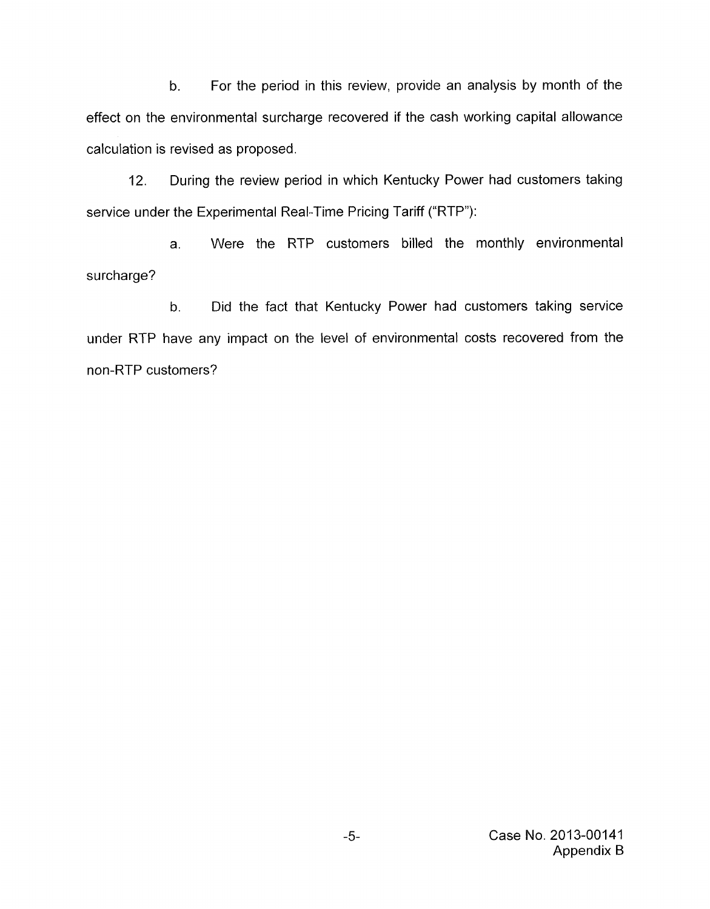b. For the period in this review, provide an analysis by month of the effect on the environmental surcharge recovered if the cash working capital allowance calculation is revised as proposed.

12. During the review period in which Kentucky Power had customers taking service under the Experimental Real-Time Pricing Tariff ("RTP"):

a. Were the RTP customers billed the monthly environmental surcharge?

b. Did the fact that Kentucky Power had customers taking service under RTP have any impact on the level of environmental costs recovered from the non-RTP customers?